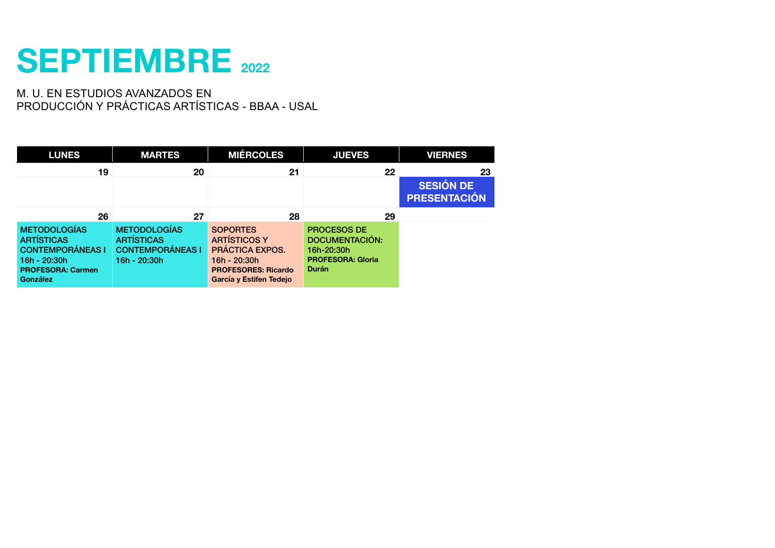#### **SEPTIEMBRE 2022**

| <b>LUNES</b>                                                                                                                | <b>MARTES</b>                                                                       | <b>MIÉRCOLES</b>                                                                                                                          | <b>JUEVES</b>                                                                                  | <b>VIERNES</b>                                |  |
|-----------------------------------------------------------------------------------------------------------------------------|-------------------------------------------------------------------------------------|-------------------------------------------------------------------------------------------------------------------------------------------|------------------------------------------------------------------------------------------------|-----------------------------------------------|--|
| 19                                                                                                                          | 20                                                                                  | 21                                                                                                                                        | 22                                                                                             | 23<br><b>SESIÓN DE</b><br><b>PRESENTACIÓN</b> |  |
| 26                                                                                                                          | 27                                                                                  | 28                                                                                                                                        | 29                                                                                             |                                               |  |
| <b>METODOLOGÍAS</b><br><b>ARTÍSTICAS</b><br><b>CONTEMPORÁNEAS I</b><br>16h - 20:30h<br><b>PROFESORA: Carmen</b><br>González | <b>METODOLOGÍAS</b><br><b>ARTÍSTICAS</b><br><b>CONTEMPORÁNEAS I</b><br>16h - 20:30h | <b>SOPORTES</b><br><b>ARTÍSTICOS Y</b><br><b>PRÁCTICA EXPOS.</b><br>16h - 20:30h<br><b>PROFESORES: Ricardo</b><br>García y Estifen Tedejo | <b>PROCESOS DE</b><br>DOCUMENTACIÓN:<br>16h-20:30h<br><b>PROFESORA: Gloria</b><br><b>Durán</b> |                                               |  |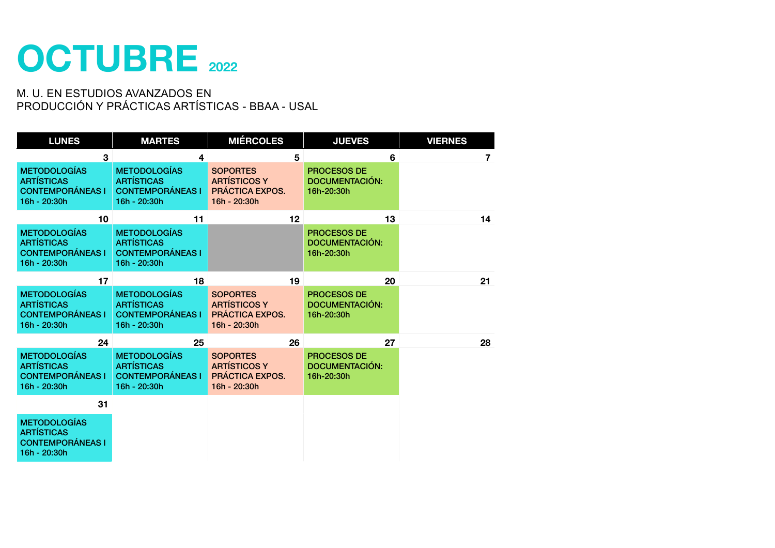

| <b>LUNES</b>                                                                        | <b>MARTES</b>                                                                       | <b>MIÉRCOLES</b>                                                                 | <b>JUEVES</b>                                             | <b>VIERNES</b> |
|-------------------------------------------------------------------------------------|-------------------------------------------------------------------------------------|----------------------------------------------------------------------------------|-----------------------------------------------------------|----------------|
| 3                                                                                   | 4                                                                                   | 5                                                                                | 6                                                         | 7              |
| <b>METODOLOGÍAS</b><br><b>ARTÍSTICAS</b><br><b>CONTEMPORÁNEAS I</b><br>16h - 20:30h | <b>METODOLOGÍAS</b><br><b>ARTÍSTICAS</b><br><b>CONTEMPORÁNEAS I</b><br>16h - 20:30h | <b>SOPORTES</b><br><b>ARTÍSTICOS Y</b><br><b>PRÁCTICA EXPOS.</b><br>16h - 20:30h | <b>PROCESOS DE</b><br><b>DOCUMENTACIÓN:</b><br>16h-20:30h |                |
| 10                                                                                  | 11                                                                                  | 12                                                                               | 13                                                        | 14             |
| <b>METODOLOGÍAS</b><br><b>ARTÍSTICAS</b><br><b>CONTEMPORÁNEAS I</b><br>16h - 20:30h | <b>METODOLOGÍAS</b><br><b>ARTÍSTICAS</b><br><b>CONTEMPORÁNEAS I</b><br>16h - 20:30h |                                                                                  | <b>PROCESOS DE</b><br><b>DOCUMENTACIÓN:</b><br>16h-20:30h |                |
| 17                                                                                  | 18                                                                                  | 19                                                                               | 20                                                        | 21             |
| <b>METODOLOGÍAS</b><br><b>ARTÍSTICAS</b><br><b>CONTEMPORÁNEAS I</b><br>16h - 20:30h | <b>METODOLOGÍAS</b><br><b>ARTÍSTICAS</b><br><b>CONTEMPORÁNEAS I</b><br>16h - 20:30h | <b>SOPORTES</b><br><b>ARTÍSTICOS Y</b><br><b>PRÁCTICA EXPOS.</b><br>16h - 20:30h | <b>PROCESOS DE</b><br><b>DOCUMENTACIÓN:</b><br>16h-20:30h |                |
| 24                                                                                  | 25                                                                                  | 26                                                                               | 27                                                        | 28             |
| <b>METODOLOGÍAS</b><br><b>ARTÍSTICAS</b><br><b>CONTEMPORÁNEAS I</b><br>16h - 20:30h | <b>METODOLOGÍAS</b><br><b>ARTÍSTICAS</b><br><b>CONTEMPORÁNEAS I</b><br>16h - 20:30h | <b>SOPORTES</b><br><b>ARTÍSTICOS Y</b><br><b>PRÁCTICA EXPOS.</b><br>16h - 20:30h | <b>PROCESOS DE</b><br><b>DOCUMENTACIÓN:</b><br>16h-20:30h |                |
| 31                                                                                  |                                                                                     |                                                                                  |                                                           |                |
| <b>METODOLOGÍAS</b><br><b>ARTÍSTICAS</b><br><b>CONTEMPORÁNEAS I</b><br>16h - 20:30h |                                                                                     |                                                                                  |                                                           |                |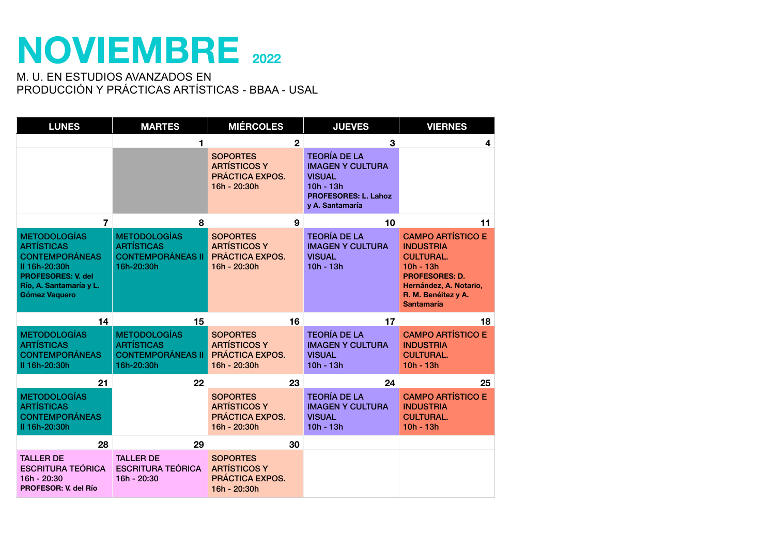### **NOVIEMBRE <sup>2022</sup>**

| <b>LUNES</b>                                                                                                                                                       | <b>MARTES</b>                                                                      | <b>MIÉRCOLES</b>                                                                 | <b>JUEVES</b>                                                                                                                    | <b>VIERNES</b>                                                                                                                                                                 |
|--------------------------------------------------------------------------------------------------------------------------------------------------------------------|------------------------------------------------------------------------------------|----------------------------------------------------------------------------------|----------------------------------------------------------------------------------------------------------------------------------|--------------------------------------------------------------------------------------------------------------------------------------------------------------------------------|
|                                                                                                                                                                    | 1                                                                                  | $\overline{2}$                                                                   | 3                                                                                                                                | $\overline{\mathbf{4}}$                                                                                                                                                        |
|                                                                                                                                                                    |                                                                                    | <b>SOPORTES</b><br><b>ARTÍSTICOS Y</b><br><b>PRÁCTICA EXPOS.</b><br>16h - 20:30h | <b>TEORÍA DE LA</b><br><b>IMAGEN Y CULTURA</b><br><b>VISUAL</b><br>$10h - 13h$<br><b>PROFESORES: L. Lahoz</b><br>y A. Santamaría |                                                                                                                                                                                |
| $\overline{7}$                                                                                                                                                     | 8                                                                                  | 9                                                                                | 10                                                                                                                               | 11                                                                                                                                                                             |
| <b>METODOLOGÍAS</b><br><b>ARTÍSTICAS</b><br><b>CONTEMPORÁNEAS</b><br>II 16h-20:30h<br><b>PROFESORES: V. del</b><br>Río, A. Santamaría y L.<br><b>Gómez Vaquero</b> | <b>METODOLOGÍAS</b><br><b>ARTÍSTICAS</b><br><b>CONTEMPORÁNEAS II</b><br>16h-20:30h | <b>SOPORTES</b><br><b>ARTÍSTICOS Y</b><br><b>PRÁCTICA EXPOS.</b><br>16h - 20:30h | <b>TEORÍA DE LA</b><br><b>IMAGEN Y CULTURA</b><br><b>VISUAL</b><br>$10h - 13h$                                                   | <b>CAMPO ARTÍSTICO E</b><br><b>INDUSTRIA</b><br><b>CULTURAL.</b><br>$10h - 13h$<br><b>PROFESORES: D.</b><br>Hernández, A. Notario,<br>R. M. Benéitez y A.<br><b>Santamaría</b> |
| 14                                                                                                                                                                 | 15                                                                                 | 16                                                                               | 17                                                                                                                               | 18                                                                                                                                                                             |
| <b>METODOLOGÍAS</b><br><b>ARTÍSTICAS</b><br><b>CONTEMPORÁNEAS</b><br>II 16h-20:30h                                                                                 | <b>METODOLOGÍAS</b><br><b>ARTÍSTICAS</b><br><b>CONTEMPORÁNEAS II</b><br>16h-20:30h | <b>SOPORTES</b><br><b>ARTÍSTICOS Y</b><br><b>PRÁCTICA EXPOS.</b><br>16h - 20:30h | <b>TEORÍA DE LA</b><br><b>IMAGEN Y CULTURA</b><br><b>VISUAL</b><br>$10h - 13h$                                                   | <b>CAMPO ARTÍSTICO E</b><br><b>INDUSTRIA</b><br><b>CULTURAL.</b><br>$10h - 13h$                                                                                                |
| 21                                                                                                                                                                 | 22                                                                                 | 23                                                                               | 24                                                                                                                               | 25                                                                                                                                                                             |
| <b>METODOLOGÍAS</b><br><b>ARTÍSTICAS</b><br><b>CONTEMPORÁNEAS</b><br>II 16h-20:30h                                                                                 |                                                                                    | <b>SOPORTES</b><br><b>ARTÍSTICOS Y</b><br><b>PRÁCTICA EXPOS.</b><br>16h - 20:30h | <b>TEORÍA DE LA</b><br><b>IMAGEN Y CULTURA</b><br><b>VISUAL</b><br>$10h - 13h$                                                   | <b>CAMPO ARTÍSTICO E</b><br><b>INDUSTRIA</b><br><b>CULTURAL.</b><br>$10h - 13h$                                                                                                |
| 28                                                                                                                                                                 | 29                                                                                 | 30                                                                               |                                                                                                                                  |                                                                                                                                                                                |
| <b>TALLER DE</b><br><b>ESCRITURA TEÓRICA</b><br>16h - 20:30<br>PROFESOR: V. del Río                                                                                | <b>TALLER DE</b><br><b>ESCRITURA TEÓRICA</b><br>16h - 20:30                        | <b>SOPORTES</b><br><b>ARTÍSTICOS Y</b><br><b>PRÁCTICA EXPOS.</b><br>16h - 20:30h |                                                                                                                                  |                                                                                                                                                                                |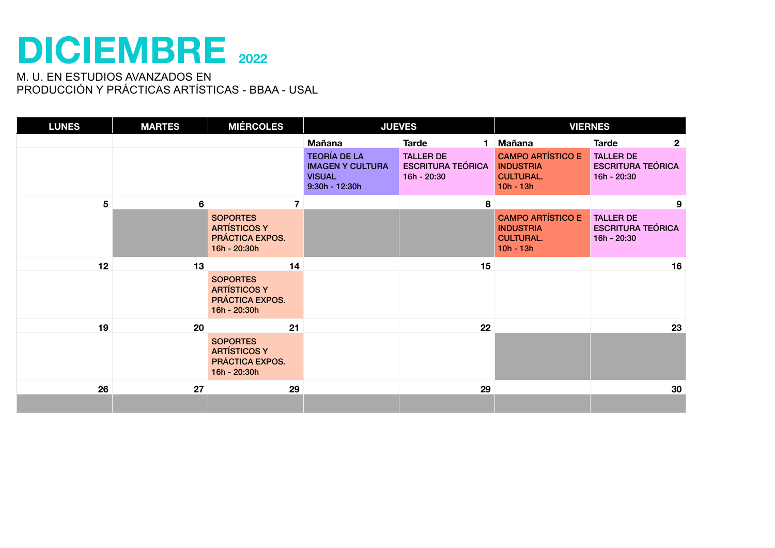### **DICIEMBRE <sup>2022</sup>**

| <b>LUNES</b> | <b>MARTES</b> | <b>MIÉRCOLES</b>                                                          |                                                                                     | <b>JUEVES</b>                                               | <b>VIERNES</b>                                                                  |                                                             |  |
|--------------|---------------|---------------------------------------------------------------------------|-------------------------------------------------------------------------------------|-------------------------------------------------------------|---------------------------------------------------------------------------------|-------------------------------------------------------------|--|
|              |               |                                                                           | <b>Mañana</b>                                                                       | <b>Tarde</b><br>1.                                          | Mañana                                                                          | <b>Tarde</b><br>$\mathbf{2}$                                |  |
|              |               |                                                                           | <b>TEORÍA DE LA</b><br><b>IMAGEN Y CULTURA</b><br><b>VISUAL</b><br>$9:30h - 12:30h$ | <b>TALLER DE</b><br><b>ESCRITURA TEÓRICA</b><br>16h - 20:30 | <b>CAMPO ARTÍSTICO E</b><br><b>INDUSTRIA</b><br><b>CULTURAL.</b><br>$10h - 13h$ | <b>TALLER DE</b><br><b>ESCRITURA TEÓRICA</b><br>16h - 20:30 |  |
| 5            | 6             |                                                                           |                                                                                     | 8                                                           |                                                                                 | 9                                                           |  |
|              |               | <b>SOPORTES</b><br><b>ARTÍSTICOS Y</b><br>PRÁCTICA EXPOS.<br>16h - 20:30h |                                                                                     |                                                             | <b>CAMPO ARTÍSTICO E</b><br><b>INDUSTRIA</b><br><b>CULTURAL.</b><br>$10h - 13h$ | <b>TALLER DE</b><br><b>ESCRITURA TEÓRICA</b><br>16h - 20:30 |  |
| 12           | 13            | 14                                                                        |                                                                                     | 15                                                          |                                                                                 | 16                                                          |  |
|              |               | <b>SOPORTES</b><br><b>ARTÍSTICOS Y</b><br>PRÁCTICA EXPOS.<br>16h - 20:30h |                                                                                     |                                                             |                                                                                 |                                                             |  |
| 19           | 20            | 21                                                                        |                                                                                     | 22                                                          |                                                                                 | 23                                                          |  |
|              |               | <b>SOPORTES</b><br><b>ARTÍSTICOS Y</b><br>PRÁCTICA EXPOS.<br>16h - 20:30h |                                                                                     |                                                             |                                                                                 |                                                             |  |
| 26           | 27            | 29                                                                        |                                                                                     | 29                                                          |                                                                                 | 30                                                          |  |
|              |               |                                                                           |                                                                                     |                                                             |                                                                                 |                                                             |  |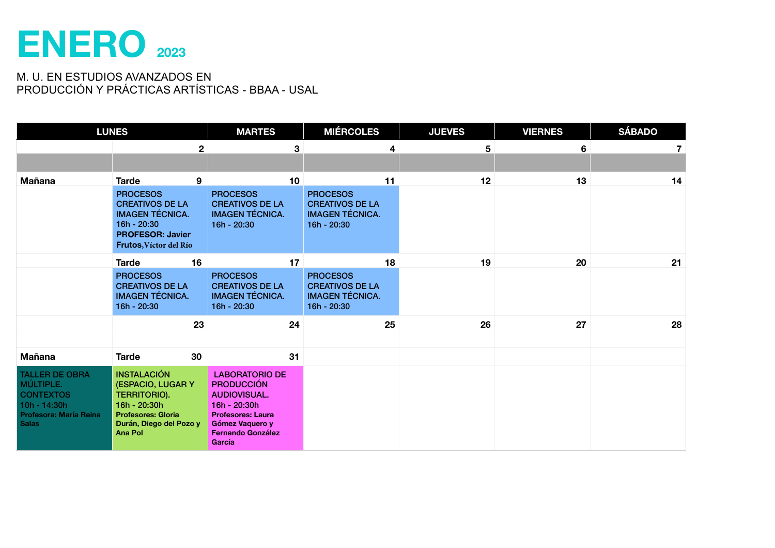### **ENERO 2023**

|                                                                                                                  | <b>LUNES</b>                                                                                                                                      | <b>MARTES</b>                                                                                                                                                          | <b>MIÉRCOLES</b>                                                                   |    | <b>JUEVES</b>   | <b>VIERNES</b> | <b>SÁBADO</b> |
|------------------------------------------------------------------------------------------------------------------|---------------------------------------------------------------------------------------------------------------------------------------------------|------------------------------------------------------------------------------------------------------------------------------------------------------------------------|------------------------------------------------------------------------------------|----|-----------------|----------------|---------------|
|                                                                                                                  |                                                                                                                                                   | $\mathbf{2}$                                                                                                                                                           | 3                                                                                  | 4  | $5\phantom{.0}$ | 6              | 7             |
|                                                                                                                  |                                                                                                                                                   |                                                                                                                                                                        |                                                                                    |    |                 |                |               |
| <b>Mañana</b>                                                                                                    | 9<br><b>Tarde</b>                                                                                                                                 | 10                                                                                                                                                                     |                                                                                    | 11 | 12              | 13             | 14            |
|                                                                                                                  | <b>PROCESOS</b><br><b>CREATIVOS DE LA</b><br><b>IMAGEN TÉCNICA.</b><br>16h - 20:30<br><b>PROFESOR: Javier</b><br>Frutos, Víctor del Río           | <b>PROCESOS</b><br><b>CREATIVOS DE LA</b><br><b>IMAGEN TÉCNICA.</b><br>16h - 20:30                                                                                     | <b>PROCESOS</b><br><b>CREATIVOS DE LA</b><br><b>IMAGEN TÉCNICA.</b><br>16h - 20:30 |    |                 |                |               |
|                                                                                                                  | 16<br><b>Tarde</b>                                                                                                                                | 17                                                                                                                                                                     |                                                                                    | 18 | 19              | 20             | 21            |
|                                                                                                                  | <b>PROCESOS</b><br><b>CREATIVOS DE LA</b><br><b>IMAGEN TÉCNICA.</b><br>16h - 20:30                                                                | <b>PROCESOS</b><br><b>CREATIVOS DE LA</b><br><b>IMAGEN TÉCNICA.</b><br>16h - 20:30                                                                                     | <b>PROCESOS</b><br><b>CREATIVOS DE LA</b><br><b>IMAGEN TÉCNICA.</b><br>16h - 20:30 |    |                 |                |               |
|                                                                                                                  | 23                                                                                                                                                | 24                                                                                                                                                                     |                                                                                    | 25 | 26              | 27             | 28            |
|                                                                                                                  |                                                                                                                                                   |                                                                                                                                                                        |                                                                                    |    |                 |                |               |
| <b>Mañana</b>                                                                                                    | 30<br><b>Tarde</b>                                                                                                                                | 31                                                                                                                                                                     |                                                                                    |    |                 |                |               |
| <b>TALLER DE OBRA</b><br>MÚLTIPLE.<br><b>CONTEXTOS</b><br>10h - 14:30h<br>Profesora: María Reina<br><b>Salas</b> | <b>INSTALACIÓN</b><br>(ESPACIO, LUGAR Y<br>TERRITORIO).<br>16h - 20:30h<br><b>Profesores: Gloria</b><br>Durán, Diego del Pozo y<br><b>Ana Pol</b> | <b>LABORATORIO DE</b><br><b>PRODUCCIÓN</b><br><b>AUDIOVISUAL.</b><br>16h - 20:30h<br><b>Profesores: Laura</b><br>Gómez Vaquero y<br><b>Fernando González</b><br>García |                                                                                    |    |                 |                |               |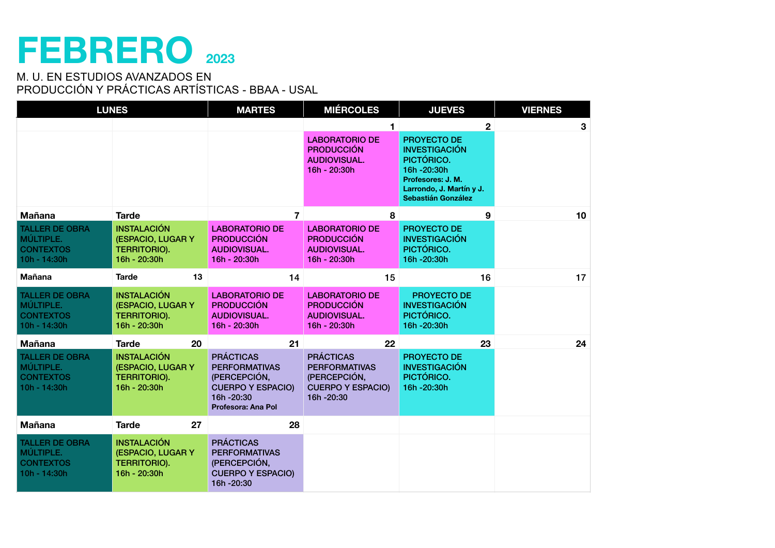## **FEBRERO <sup>2023</sup>**

| <b>LUNES</b>                                                             |                                                                                | <b>MARTES</b>                                                                                                           | <b>MIÉRCOLES</b>                                                                                    | <b>JUEVES</b>                                                                                                                          | <b>VIERNES</b> |
|--------------------------------------------------------------------------|--------------------------------------------------------------------------------|-------------------------------------------------------------------------------------------------------------------------|-----------------------------------------------------------------------------------------------------|----------------------------------------------------------------------------------------------------------------------------------------|----------------|
|                                                                          |                                                                                |                                                                                                                         | 1                                                                                                   | $\mathbf{2}$                                                                                                                           | 3              |
|                                                                          |                                                                                |                                                                                                                         | <b>LABORATORIO DE</b><br><b>PRODUCCIÓN</b><br><b>AUDIOVISUAL.</b><br>16h - 20:30h                   | PROYECTO DE<br><b>INVESTIGACIÓN</b><br>PICTÓRICO.<br>16h-20:30h<br>Profesores: J. M.<br>Larrondo, J. Martín y J.<br>Sebastián González |                |
| <b>Mañana</b>                                                            | <b>Tarde</b>                                                                   | $\overline{7}$                                                                                                          | 8                                                                                                   | 9                                                                                                                                      | 10             |
| <b>TALLER DE OBRA</b><br>MÚLTIPLE.<br><b>CONTEXTOS</b><br>$10h - 14:30h$ | <b>INSTALACIÓN</b><br>(ESPACIO, LUGAR Y<br><b>TERRITORIO).</b><br>16h - 20:30h | <b>LABORATORIO DE</b><br><b>PRODUCCIÓN</b><br><b>AUDIOVISUAL.</b><br>16h - 20:30h                                       | <b>LABORATORIO DE</b><br><b>PRODUCCIÓN</b><br><b>AUDIOVISUAL.</b><br>16h - 20:30h                   | PROYECTO DE<br><b>INVESTIGACIÓN</b><br>PICTÓRICO.<br>16h-20:30h                                                                        |                |
| <b>Mañana</b>                                                            | <b>Tarde</b><br>13                                                             | 14                                                                                                                      | 15                                                                                                  | 16                                                                                                                                     | 17             |
| <b>TALLER DE OBRA</b><br>MÚLTIPLE.<br><b>CONTEXTOS</b><br>10h - 14:30h   | <b>INSTALACIÓN</b><br>(ESPACIO, LUGAR Y<br><b>TERRITORIO).</b><br>16h - 20:30h | <b>LABORATORIO DE</b><br><b>PRODUCCIÓN</b><br><b>AUDIOVISUAL.</b><br>16h - 20:30h                                       | <b>LABORATORIO DE</b><br><b>PRODUCCIÓN</b><br><b>AUDIOVISUAL.</b><br>16h - 20:30h                   | PROYECTO DE<br><b>INVESTIGACIÓN</b><br>PICTÓRICO.<br>16h-20:30h                                                                        |                |
| <b>Mañana</b>                                                            | 20<br><b>Tarde</b>                                                             | 21                                                                                                                      | 22                                                                                                  | 23                                                                                                                                     | 24             |
| <b>TALLER DE OBRA</b><br>MÚLTIPLE.<br><b>CONTEXTOS</b><br>10h - 14:30h   | <b>INSTALACIÓN</b><br>(ESPACIO, LUGAR Y<br><b>TERRITORIO).</b><br>16h - 20:30h | <b>PRÁCTICAS</b><br><b>PERFORMATIVAS</b><br>(PERCEPCIÓN,<br><b>CUERPO Y ESPACIO)</b><br>16h-20:30<br>Profesora: Ana Pol | <b>PRÁCTICAS</b><br><b>PERFORMATIVAS</b><br>(PERCEPCIÓN,<br><b>CUERPO Y ESPACIO)</b><br>16h - 20:30 | PROYECTO DE<br><b>INVESTIGACIÓN</b><br>PICTÓRICO.<br>16h-20:30h                                                                        |                |
| <b>Mañana</b>                                                            | 27<br><b>Tarde</b>                                                             | 28                                                                                                                      |                                                                                                     |                                                                                                                                        |                |
| <b>TALLER DE OBRA</b><br>MÚLTIPLE.<br><b>CONTEXTOS</b><br>10h - 14:30h   | <b>INSTALACIÓN</b><br>(ESPACIO, LUGAR Y<br><b>TERRITORIO).</b><br>16h - 20:30h | <b>PRÁCTICAS</b><br><b>PERFORMATIVAS</b><br>(PERCEPCIÓN,<br><b>CUERPO Y ESPACIO)</b><br>16h - 20:30                     |                                                                                                     |                                                                                                                                        |                |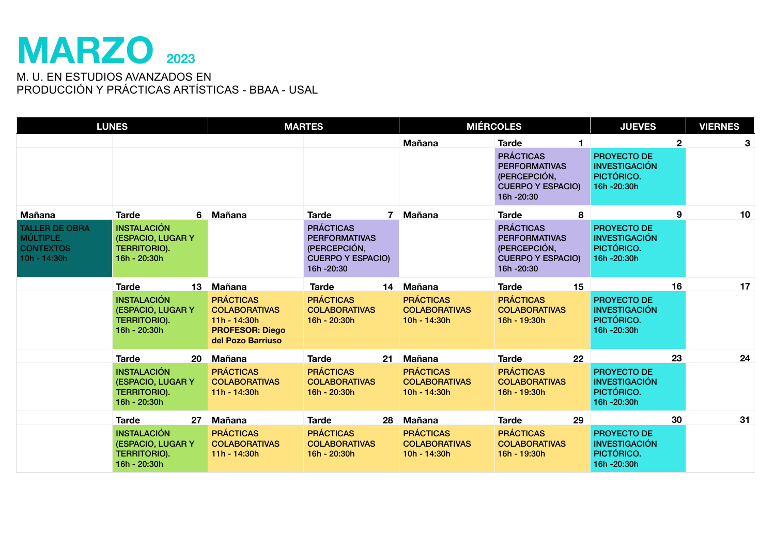### **MARZO <sup>2023</sup>**

| <b>LUNES</b>                                                                     |                                                                                                                           |                                                                                                                            | <b>MARTES</b>                                                                                                                      |                                                                         | <b>MIÉRCOLES</b>                                                                                                       | <b>JUEVES</b>                                                                   | <b>VIERNES</b>  |
|----------------------------------------------------------------------------------|---------------------------------------------------------------------------------------------------------------------------|----------------------------------------------------------------------------------------------------------------------------|------------------------------------------------------------------------------------------------------------------------------------|-------------------------------------------------------------------------|------------------------------------------------------------------------------------------------------------------------|---------------------------------------------------------------------------------|-----------------|
|                                                                                  |                                                                                                                           |                                                                                                                            |                                                                                                                                    | <b>Mañana</b>                                                           | <b>Tarde</b><br><b>PRÁCTICAS</b><br><b>PERFORMATIVAS</b><br>(PERCEPCIÓN,<br><b>CUERPO Y ESPACIO)</b><br>16h - 20:30    | $\mathbf{2}$<br>PROYECTO DE<br><b>INVESTIGACIÓN</b><br>PICTÓRICO.<br>16h-20:30h | $3\phantom{.0}$ |
| Mañana<br><b>TALLER DE OBRA</b><br>MÚLTIPLE.<br><b>CONTEXTOS</b><br>10h - 14:30h | <b>Tarde</b><br><b>INSTALACIÓN</b><br>(ESPACIO, LUGAR Y<br><b>TERRITORIO).</b><br>16h - 20:30h                            | 6 Mañana                                                                                                                   | <b>Tarde</b><br>$7^{\circ}$<br><b>PRÁCTICAS</b><br><b>PERFORMATIVAS</b><br>(PERCEPCIÓN,<br><b>CUERPO Y ESPACIO)</b><br>16h - 20:30 | <b>Mañana</b>                                                           | 8<br><b>Tarde</b><br><b>PRÁCTICAS</b><br><b>PERFORMATIVAS</b><br>(PERCEPCIÓN,<br><b>CUERPO Y ESPACIO)</b><br>16h-20:30 | 9<br><b>PROYECTO DE</b><br><b>INVESTIGACIÓN</b><br>PICTÓRICO.<br>16h-20:30h     | 10              |
|                                                                                  | <b>Tarde</b><br>13 <sup>1</sup><br><b>INSTALACIÓN</b><br><b>(ESPACIO, LUGAR Y)</b><br><b>TERRITORIO).</b><br>16h - 20:30h | <b>Mañana</b><br><b>PRÁCTICAS</b><br><b>COLABORATIVAS</b><br>$11h - 14:30h$<br><b>PROFESOR: Diego</b><br>del Pozo Barriuso | <b>Tarde</b><br><b>PRÁCTICAS</b><br><b>COLABORATIVAS</b><br>16h - 20:30h                                                           | 14 Mañana<br><b>PRÁCTICAS</b><br><b>COLABORATIVAS</b><br>10h - 14:30h   | 15<br><b>Tarde</b><br><b>PRÁCTICAS</b><br><b>COLABORATIVAS</b><br>16h - 19:30h                                         | 16<br>PROYECTO DE<br><b>INVESTIGACIÓN</b><br>PICTÓRICO.<br>16h-20:30h           | 17              |
|                                                                                  | <b>Tarde</b><br><b>20</b><br><b>INSTALACIÓN</b><br>(ESPACIO, LUGAR Y<br><b>TERRITORIO).</b><br>16h - 20:30h               | Mañana<br><b>PRÁCTICAS</b><br><b>COLABORATIVAS</b><br>$11h - 14:30h$                                                       | <b>Tarde</b><br><b>PRÁCTICAS</b><br><b>COLABORATIVAS</b><br>16h - 20:30h                                                           | 21 Mañana<br><b>PRÁCTICAS</b><br><b>COLABORATIVAS</b><br>$10h - 14:30h$ | <b>Tarde</b><br>$22 \,$<br><b>PRÁCTICAS</b><br><b>COLABORATIVAS</b><br>16h - 19:30h                                    | 23<br><b>PROYECTO DE</b><br><b>INVESTIGACIÓN</b><br>PICTÓRICO.<br>16h-20:30h    | 24              |
|                                                                                  | <b>Tarde</b><br>27<br><b>INSTALACIÓN</b><br>(ESPACIO, LUGAR Y<br><b>TERRITORIO).</b><br>16h - 20:30h                      | Mañana<br><b>PRÁCTICAS</b><br><b>COLABORATIVAS</b><br>$11h - 14:30h$                                                       | <b>Tarde</b><br>28<br><b>PRÁCTICAS</b><br><b>COLABORATIVAS</b><br>16h - 20:30h                                                     | Mañana<br><b>PRÁCTICAS</b><br><b>COLABORATIVAS</b><br>$10h - 14:30h$    | 29<br><b>Tarde</b><br><b>PRÁCTICAS</b><br><b>COLABORATIVAS</b><br>16h - 19:30h                                         | 30<br><b>PROYECTO DE</b><br><b>INVESTIGACIÓN</b><br>PICTÓRICO.<br>16h - 20:30h  | 31              |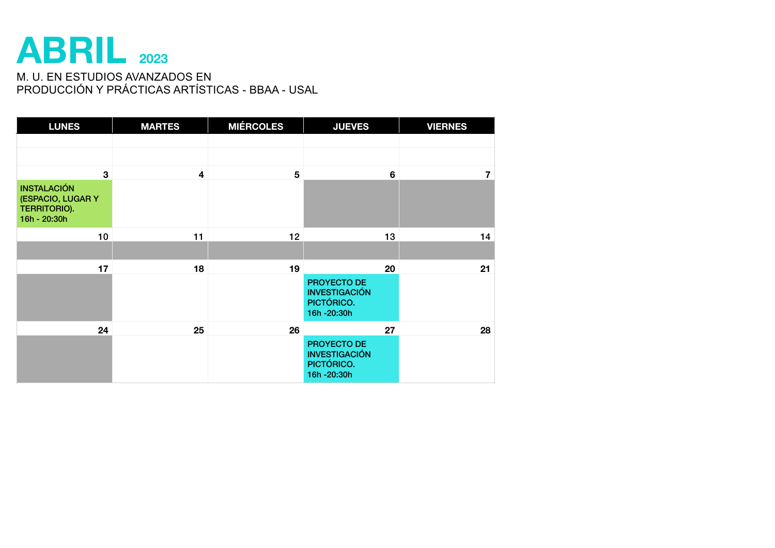### **ABRIL <sup>2023</sup>**

| <b>LUNES</b>                                                                   | <b>MARTES</b> | <b>MIÉRCOLES</b> | <b>JUEVES</b>                                                   | <b>VIERNES</b> |
|--------------------------------------------------------------------------------|---------------|------------------|-----------------------------------------------------------------|----------------|
|                                                                                |               |                  |                                                                 |                |
|                                                                                |               |                  |                                                                 |                |
| 3                                                                              | 4             | 5                | 6                                                               | $\overline{7}$ |
| <b>INSTALACIÓN</b><br>(ESPACIO, LUGAR Y<br><b>TERRITORIO).</b><br>16h - 20:30h |               |                  |                                                                 |                |
| 10                                                                             | 11            | 12               | 13                                                              | 14             |
|                                                                                |               |                  |                                                                 |                |
| 17                                                                             | 18            | 19               | 20                                                              | 21             |
|                                                                                |               |                  | PROYECTO DE<br><b>INVESTIGACIÓN</b><br>PICTÓRICO.<br>16h-20:30h |                |
| 24                                                                             | 25            | 26               | 27                                                              | 28             |
|                                                                                |               |                  | PROYECTO DE<br><b>INVESTIGACIÓN</b><br>PICTÓRICO.<br>16h-20:30h |                |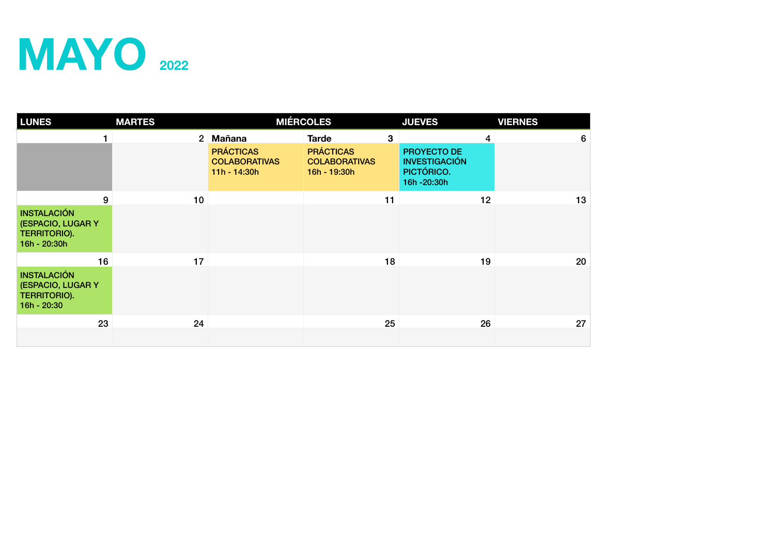# **MAYO** 2022

| <b>LUNES</b>                                                                   | <b>MARTES</b> |                                                          | <b>MIÉRCOLES</b>                                         |              | <b>JUEVES</b>                                                   |    | <b>VIERNES</b> |   |
|--------------------------------------------------------------------------------|---------------|----------------------------------------------------------|----------------------------------------------------------|--------------|-----------------------------------------------------------------|----|----------------|---|
|                                                                                |               | 2 Mañana                                                 | <b>Tarde</b>                                             | $\mathbf{3}$ |                                                                 | 4  |                | 6 |
|                                                                                |               | <b>PRÁCTICAS</b><br><b>COLABORATIVAS</b><br>11h - 14:30h | <b>PRÁCTICAS</b><br><b>COLABORATIVAS</b><br>16h - 19:30h |              | PROYECTO DE<br><b>INVESTIGACIÓN</b><br>PICTÓRICO.<br>16h-20:30h |    |                |   |
| 9                                                                              | 10            |                                                          |                                                          | 11           |                                                                 | 12 | 13             |   |
| <b>INSTALACIÓN</b><br>(ESPACIO, LUGAR Y<br><b>TERRITORIO).</b><br>16h - 20:30h |               |                                                          |                                                          |              |                                                                 |    |                |   |
| 16                                                                             | 17            |                                                          |                                                          | 18           |                                                                 | 19 | 20             |   |
| <b>INSTALACIÓN</b><br>(ESPACIO, LUGAR Y<br>TERRITORIO).<br>16h - 20:30         |               |                                                          |                                                          |              |                                                                 |    |                |   |
| 23                                                                             | 24            |                                                          |                                                          | 25           |                                                                 | 26 | 27             |   |
|                                                                                |               |                                                          |                                                          |              |                                                                 |    |                |   |